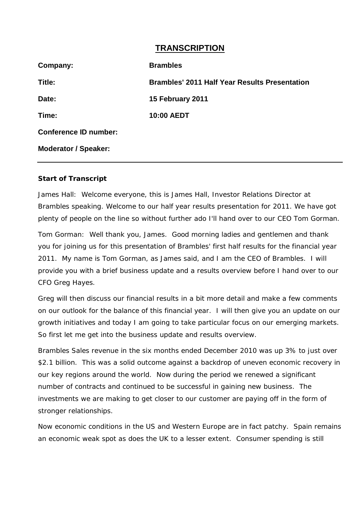## **TRANSCRIPTION**

| Company:                     | <b>Brambles</b>                                      |
|------------------------------|------------------------------------------------------|
| Title:                       | <b>Brambles' 2011 Half Year Results Presentation</b> |
| Date:                        | 15 February 2011                                     |
| Time:                        | 10:00 AEDT                                           |
| <b>Conference ID number:</b> |                                                      |
| <b>Moderator / Speaker:</b>  |                                                      |

## **Start of Transcript**

James Hall: Welcome everyone, this is James Hall, Investor Relations Director at Brambles speaking. Welcome to our half year results presentation for 2011. We have got plenty of people on the line so without further ado I'll hand over to our CEO Tom Gorman.

Tom Gorman: Well thank you, James. Good morning ladies and gentlemen and thank you for joining us for this presentation of Brambles' first half results for the financial year 2011. My name is Tom Gorman, as James said, and I am the CEO of Brambles. I will provide you with a brief business update and a results overview before I hand over to our CFO Greg Hayes.

Greg will then discuss our financial results in a bit more detail and make a few comments on our outlook for the balance of this financial year. I will then give you an update on our growth initiatives and today I am going to take particular focus on our emerging markets. So first let me get into the business update and results overview.

Brambles Sales revenue in the six months ended December 2010 was up 3% to just over \$2.1 billion. This was a solid outcome against a backdrop of uneven economic recovery in our key regions around the world. Now during the period we renewed a significant number of contracts and continued to be successful in gaining new business. The investments we are making to get closer to our customer are paying off in the form of stronger relationships.

Now economic conditions in the US and Western Europe are in fact patchy. Spain remains an economic weak spot as does the UK to a lesser extent. Consumer spending is still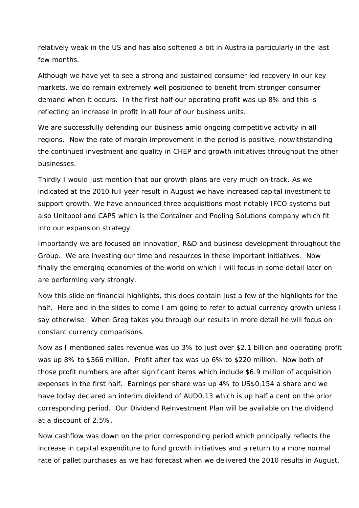relatively weak in the US and has also softened a bit in Australia particularly in the last few months.

Although we have yet to see a strong and sustained consumer led recovery in our key markets, we do remain extremely well positioned to benefit from stronger consumer demand when it occurs. In the first half our operating profit was up 8% and this is reflecting an increase in profit in all four of our business units.

We are successfully defending our business amid ongoing competitive activity in all regions. Now the rate of margin improvement in the period is positive, notwithstanding the continued investment and quality in CHEP and growth initiatives throughout the other businesses.

Thirdly I would just mention that our growth plans are very much on track. As we indicated at the 2010 full year result in August we have increased capital investment to support growth. We have announced three acquisitions most notably IFCO systems but also Unitpool and CAPS which is the Container and Pooling Solutions company which fit into our expansion strategy.

Importantly we are focused on innovation, R&D and business development throughout the Group. We are investing our time and resources in these important initiatives. Now finally the emerging economies of the world on which I will focus in some detail later on are performing very strongly.

Now this slide on financial highlights, this does contain just a few of the highlights for the half. Here and in the slides to come I am going to refer to actual currency growth unless I say otherwise. When Greg takes you through our results in more detail he will focus on constant currency comparisons.

Now as I mentioned sales revenue was up 3% to just over \$2.1 billion and operating profit was up 8% to \$366 million. Profit after tax was up 6% to \$220 million. Now both of those profit numbers are after significant items which include \$6.9 million of acquisition expenses in the first half. Earnings per share was up 4% to US\$0.154 a share and we have today declared an interim dividend of AUD0.13 which is up half a cent on the prior corresponding period. Our Dividend Reinvestment Plan will be available on the dividend at a discount of 2.5%.

Now cashflow was down on the prior corresponding period which principally reflects the increase in capital expenditure to fund growth initiatives and a return to a more normal rate of pallet purchases as we had forecast when we delivered the 2010 results in August.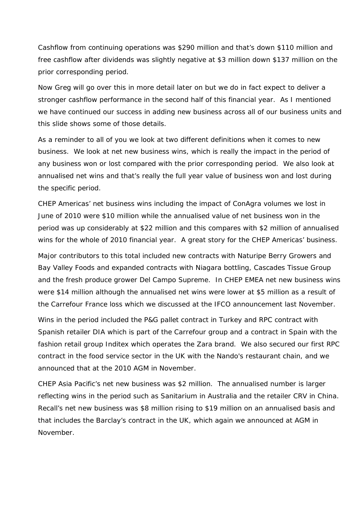Cashflow from continuing operations was \$290 million and that's down \$110 million and free cashflow after dividends was slightly negative at \$3 million down \$137 million on the prior corresponding period.

Now Greg will go over this in more detail later on but we do in fact expect to deliver a stronger cashflow performance in the second half of this financial year. As I mentioned we have continued our success in adding new business across all of our business units and this slide shows some of those details.

As a reminder to all of you we look at two different definitions when it comes to new business. We look at net new business wins, which is really the impact in the period of any business won or lost compared with the prior corresponding period. We also look at annualised net wins and that's really the full year value of business won and lost during the specific period.

CHEP Americas' net business wins including the impact of ConAgra volumes we lost in June of 2010 were \$10 million while the annualised value of net business won in the period was up considerably at \$22 million and this compares with \$2 million of annualised wins for the whole of 2010 financial year. A great story for the CHEP Americas' business.

Major contributors to this total included new contracts with Naturipe Berry Growers and Bay Valley Foods and expanded contracts with Niagara bottling, Cascades Tissue Group and the fresh produce grower Del Campo Supreme. In CHEP EMEA net new business wins were \$14 million although the annualised net wins were lower at \$5 million as a result of the Carrefour France loss which we discussed at the IFCO announcement last November.

Wins in the period included the P&G pallet contract in Turkey and RPC contract with Spanish retailer DIA which is part of the Carrefour group and a contract in Spain with the fashion retail group Inditex which operates the Zara brand. We also secured our first RPC contract in the food service sector in the UK with the Nando's restaurant chain, and we announced that at the 2010 AGM in November.

CHEP Asia Pacific's net new business was \$2 million. The annualised number is larger reflecting wins in the period such as Sanitarium in Australia and the retailer CRV in China. Recall's net new business was \$8 million rising to \$19 million on an annualised basis and that includes the Barclay's contract in the UK, which again we announced at AGM in November.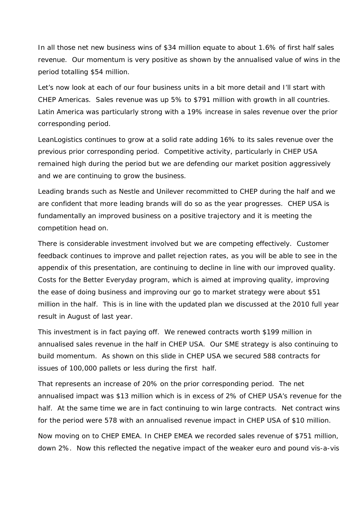In all those net new business wins of \$34 million equate to about 1.6% of first half sales revenue. Our momentum is very positive as shown by the annualised value of wins in the period totalling \$54 million.

Let's now look at each of our four business units in a bit more detail and I'll start with CHEP Americas. Sales revenue was up 5% to \$791 million with growth in all countries. Latin America was particularly strong with a 19% increase in sales revenue over the prior corresponding period.

LeanLogistics continues to grow at a solid rate adding 16% to its sales revenue over the previous prior corresponding period. Competitive activity, particularly in CHEP USA remained high during the period but we are defending our market position aggressively and we are continuing to grow the business.

Leading brands such as Nestle and Unilever recommitted to CHEP during the half and we are confident that more leading brands will do so as the year progresses. CHEP USA is fundamentally an improved business on a positive trajectory and it is meeting the competition head on.

There is considerable investment involved but we are competing effectively. Customer feedback continues to improve and pallet rejection rates, as you will be able to see in the appendix of this presentation, are continuing to decline in line with our improved quality. Costs for the Better Everyday program, which is aimed at improving quality, improving the ease of doing business and improving our go to market strategy were about \$51 million in the half. This is in line with the updated plan we discussed at the 2010 full year result in August of last year.

This investment is in fact paying off. We renewed contracts worth \$199 million in annualised sales revenue in the half in CHEP USA. Our SME strategy is also continuing to build momentum. As shown on this slide in CHEP USA we secured 588 contracts for issues of 100,000 pallets or less during the first half.

That represents an increase of 20% on the prior corresponding period. The net annualised impact was \$13 million which is in excess of 2% of CHEP USA's revenue for the half. At the same time we are in fact continuing to win large contracts. Net contract wins for the period were 578 with an annualised revenue impact in CHEP USA of \$10 million.

Now moving on to CHEP EMEA. In CHEP EMEA we recorded sales revenue of \$751 million, down 2%. Now this reflected the negative impact of the weaker euro and pound vis-a-vis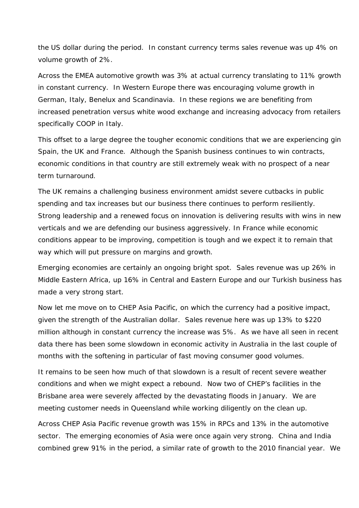the US dollar during the period. In constant currency terms sales revenue was up 4% on volume growth of 2%.

Across the EMEA automotive growth was 3% at actual currency translating to 11% growth in constant currency. In Western Europe there was encouraging volume growth in German, Italy, Benelux and Scandinavia. In these regions we are benefiting from increased penetration versus white wood exchange and increasing advocacy from retailers specifically COOP in Italy.

This offset to a large degree the tougher economic conditions that we are experiencing gin Spain, the UK and France. Although the Spanish business continues to win contracts, economic conditions in that country are still extremely weak with no prospect of a near term turnaround.

The UK remains a challenging business environment amidst severe cutbacks in public spending and tax increases but our business there continues to perform resiliently. Strong leadership and a renewed focus on innovation is delivering results with wins in new verticals and we are defending our business aggressively. In France while economic conditions appear to be improving, competition is tough and we expect it to remain that way which will put pressure on margins and growth.

Emerging economies are certainly an ongoing bright spot. Sales revenue was up 26% in Middle Eastern Africa, up 16% in Central and Eastern Europe and our Turkish business has made a very strong start.

Now let me move on to CHEP Asia Pacific, on which the currency had a positive impact, given the strength of the Australian dollar. Sales revenue here was up 13% to \$220 million although in constant currency the increase was 5%. As we have all seen in recent data there has been some slowdown in economic activity in Australia in the last couple of months with the softening in particular of fast moving consumer good volumes.

It remains to be seen how much of that slowdown is a result of recent severe weather conditions and when we might expect a rebound. Now two of CHEP's facilities in the Brisbane area were severely affected by the devastating floods in January. We are meeting customer needs in Queensland while working diligently on the clean up.

Across CHEP Asia Pacific revenue growth was 15% in RPCs and 13% in the automotive sector. The emerging economies of Asia were once again very strong. China and India combined grew 91% in the period, a similar rate of growth to the 2010 financial year. We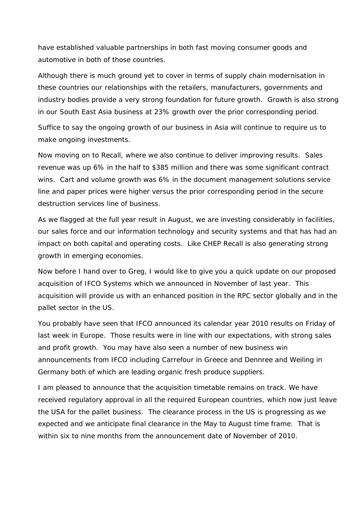have established valuable partnerships in both fast moving consumer goods and automotive in both of those countries.

Although there is much ground yet to cover in terms of supply chain modernisation in these countries our relationships with the retailers, manufacturers, governments and industry bodies provide a very strong foundation for future growth. Growth is also strong in our South East Asia business at 23% growth over the prior corresponding period.

Suffice to say the ongoing growth of our business in Asia will continue to require us to make ongoing investments.

Now moving on to Recall, where we also continue to deliver improving results. Sales revenue was up 6% in the half to \$385 million and there was some significant contract wins. Cart and volume growth was 6% in the document management solutions service line and paper prices were higher versus the prior corresponding period in the secure destruction services line of business.

As we flagged at the full year result in August, we are investing considerably in facilities, our sales force and our information technology and security systems and that has had an impact on both capital and operating costs. Like CHEP Recall is also generating strong growth in emerging economies.

Now before I hand over to Greg, I would like to give you a quick update on our proposed acquisition of IFCO Systems which we announced in November of last year. This acquisition will provide us with an enhanced position in the RPC sector globally and in the pallet sector in the US.

You probably have seen that IFCO announced its calendar year 2010 results on Friday of last week in Europe. Those results were in line with our expectations, with strong sales and profit growth. You may have also seen a number of new business win announcements from IFCO including Carrefour in Greece and Dennree and Weiling in Germany both of which are leading organic fresh produce suppliers.

I am pleased to announce that the acquisition timetable remains on track. We have received regulatory approval in all the required European countries, which now just leave the USA for the pallet business. The clearance process in the US is progressing as we expected and we anticipate final clearance in the May to August time frame. That is within six to nine months from the announcement date of November of 2010.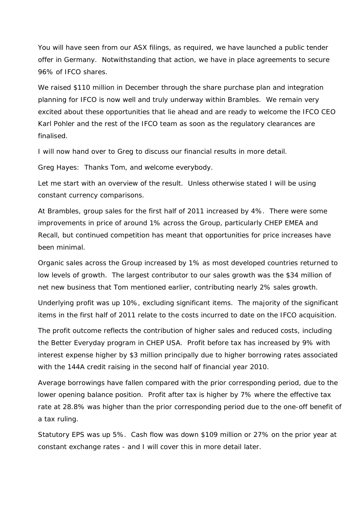You will have seen from our ASX filings, as required, we have launched a public tender offer in Germany. Notwithstanding that action, we have in place agreements to secure 96% of IFCO shares.

We raised \$110 million in December through the share purchase plan and integration planning for IFCO is now well and truly underway within Brambles. We remain very excited about these opportunities that lie ahead and are ready to welcome the IFCO CEO Karl Pohler and the rest of the IFCO team as soon as the regulatory clearances are finalised.

I will now hand over to Greg to discuss our financial results in more detail.

Greg Hayes: Thanks Tom, and welcome everybody.

Let me start with an overview of the result. Unless otherwise stated I will be using constant currency comparisons.

At Brambles, group sales for the first half of 2011 increased by 4%. There were some improvements in price of around 1% across the Group, particularly CHEP EMEA and Recall, but continued competition has meant that opportunities for price increases have been minimal.

Organic sales across the Group increased by 1% as most developed countries returned to low levels of growth. The largest contributor to our sales growth was the \$34 million of net new business that Tom mentioned earlier, contributing nearly 2% sales growth.

Underlying profit was up 10%, excluding significant items. The majority of the significant items in the first half of 2011 relate to the costs incurred to date on the IFCO acquisition.

The profit outcome reflects the contribution of higher sales and reduced costs, including the Better Everyday program in CHEP USA. Profit before tax has increased by 9% with interest expense higher by \$3 million principally due to higher borrowing rates associated with the 144A credit raising in the second half of financial year 2010.

Average borrowings have fallen compared with the prior corresponding period, due to the lower opening balance position. Profit after tax is higher by 7% where the effective tax rate at 28.8% was higher than the prior corresponding period due to the one-off benefit of a tax ruling.

Statutory EPS was up 5%. Cash flow was down \$109 million or 27% on the prior year at constant exchange rates - and I will cover this in more detail later.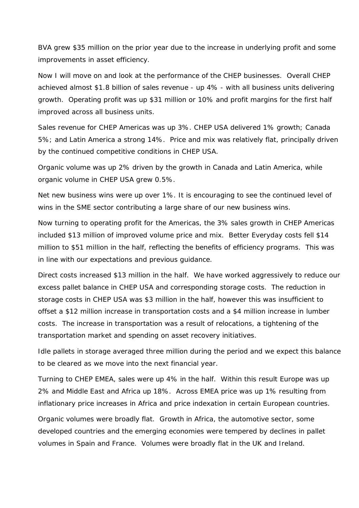BVA grew \$35 million on the prior year due to the increase in underlying profit and some improvements in asset efficiency.

Now I will move on and look at the performance of the CHEP businesses. Overall CHEP achieved almost \$1.8 billion of sales revenue - up 4% - with all business units delivering growth. Operating profit was up \$31 million or 10% and profit margins for the first half improved across all business units.

Sales revenue for CHEP Americas was up 3%. CHEP USA delivered 1% growth; Canada 5%; and Latin America a strong 14%. Price and mix was relatively flat, principally driven by the continued competitive conditions in CHEP USA.

Organic volume was up 2% driven by the growth in Canada and Latin America, while organic volume in CHEP USA grew 0.5%.

Net new business wins were up over 1%. It is encouraging to see the continued level of wins in the SME sector contributing a large share of our new business wins.

Now turning to operating profit for the Americas, the 3% sales growth in CHEP Americas included \$13 million of improved volume price and mix. Better Everyday costs fell \$14 million to \$51 million in the half, reflecting the benefits of efficiency programs. This was in line with our expectations and previous guidance.

Direct costs increased \$13 million in the half. We have worked aggressively to reduce our excess pallet balance in CHEP USA and corresponding storage costs. The reduction in storage costs in CHEP USA was \$3 million in the half, however this was insufficient to offset a \$12 million increase in transportation costs and a \$4 million increase in lumber costs. The increase in transportation was a result of relocations, a tightening of the transportation market and spending on asset recovery initiatives.

Idle pallets in storage averaged three million during the period and we expect this balance to be cleared as we move into the next financial year.

Turning to CHEP EMEA, sales were up 4% in the half. Within this result Europe was up 2% and Middle East and Africa up 18%. Across EMEA price was up 1% resulting from inflationary price increases in Africa and price indexation in certain European countries.

Organic volumes were broadly flat. Growth in Africa, the automotive sector, some developed countries and the emerging economies were tempered by declines in pallet volumes in Spain and France. Volumes were broadly flat in the UK and Ireland.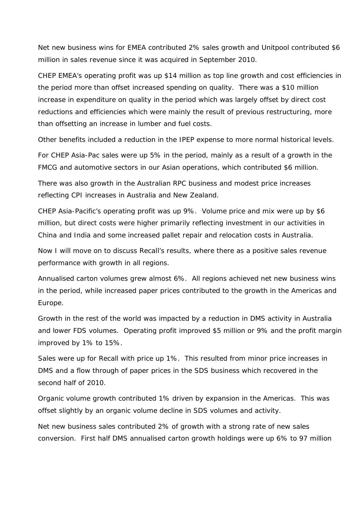Net new business wins for EMEA contributed 2% sales growth and Unitpool contributed \$6 million in sales revenue since it was acquired in September 2010.

CHEP EMEA's operating profit was up \$14 million as top line growth and cost efficiencies in the period more than offset increased spending on quality. There was a \$10 million increase in expenditure on quality in the period which was largely offset by direct cost reductions and efficiencies which were mainly the result of previous restructuring, more than offsetting an increase in lumber and fuel costs.

Other benefits included a reduction in the IPEP expense to more normal historical levels.

For CHEP Asia-Pac sales were up 5% in the period, mainly as a result of a growth in the FMCG and automotive sectors in our Asian operations, which contributed \$6 million.

There was also growth in the Australian RPC business and modest price increases reflecting CPI increases in Australia and New Zealand.

CHEP Asia-Pacific's operating profit was up 9%. Volume price and mix were up by \$6 million, but direct costs were higher primarily reflecting investment in our activities in China and India and some increased pallet repair and relocation costs in Australia.

Now I will move on to discuss Recall's results, where there as a positive sales revenue performance with growth in all regions.

Annualised carton volumes grew almost 6%. All regions achieved net new business wins in the period, while increased paper prices contributed to the growth in the Americas and Europe.

Growth in the rest of the world was impacted by a reduction in DMS activity in Australia and lower FDS volumes. Operating profit improved \$5 million or 9% and the profit margin improved by 1% to 15%.

Sales were up for Recall with price up 1%. This resulted from minor price increases in DMS and a flow through of paper prices in the SDS business which recovered in the second half of 2010.

Organic volume growth contributed 1% driven by expansion in the Americas. This was offset slightly by an organic volume decline in SDS volumes and activity.

Net new business sales contributed 2% of growth with a strong rate of new sales conversion. First half DMS annualised carton growth holdings were up 6% to 97 million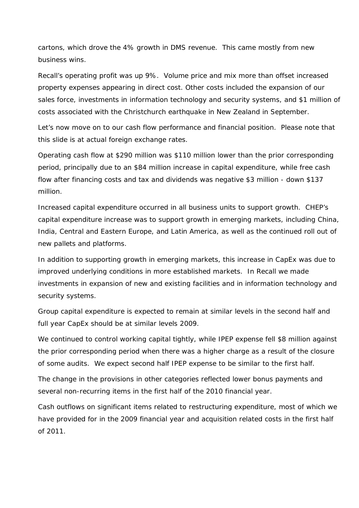cartons, which drove the 4% growth in DMS revenue. This came mostly from new business wins.

Recall's operating profit was up 9%. Volume price and mix more than offset increased property expenses appearing in direct cost. Other costs included the expansion of our sales force, investments in information technology and security systems, and \$1 million of costs associated with the Christchurch earthquake in New Zealand in September.

Let's now move on to our cash flow performance and financial position. Please note that this slide is at actual foreign exchange rates.

Operating cash flow at \$290 million was \$110 million lower than the prior corresponding period, principally due to an \$84 million increase in capital expenditure, while free cash flow after financing costs and tax and dividends was negative \$3 million - down \$137 million.

Increased capital expenditure occurred in all business units to support growth. CHEP's capital expenditure increase was to support growth in emerging markets, including China, India, Central and Eastern Europe, and Latin America, as well as the continued roll out of new pallets and platforms.

In addition to supporting growth in emerging markets, this increase in CapEx was due to improved underlying conditions in more established markets. In Recall we made investments in expansion of new and existing facilities and in information technology and security systems.

Group capital expenditure is expected to remain at similar levels in the second half and full year CapEx should be at similar levels 2009.

We continued to control working capital tightly, while IPEP expense fell \$8 million against the prior corresponding period when there was a higher charge as a result of the closure of some audits. We expect second half IPEP expense to be similar to the first half.

The change in the provisions in other categories reflected lower bonus payments and several non-recurring items in the first half of the 2010 financial year.

Cash outflows on significant items related to restructuring expenditure, most of which we have provided for in the 2009 financial year and acquisition related costs in the first half of 2011.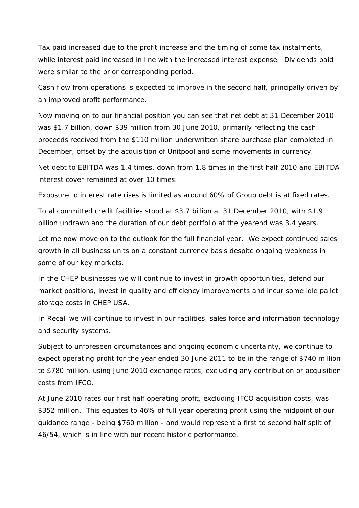Tax paid increased due to the profit increase and the timing of some tax instalments, while interest paid increased in line with the increased interest expense. Dividends paid were similar to the prior corresponding period.

Cash flow from operations is expected to improve in the second half, principally driven by an improved profit performance.

Now moving on to our financial position you can see that net debt at 31 December 2010 was \$1.7 billion, down \$39 million from 30 June 2010, primarily reflecting the cash proceeds received from the \$110 million underwritten share purchase plan completed in December, offset by the acquisition of Unitpool and some movements in currency.

Net debt to EBITDA was 1.4 times, down from 1.8 times in the first half 2010 and EBITDA interest cover remained at over 10 times.

Exposure to interest rate rises is limited as around 60% of Group debt is at fixed rates.

Total committed credit facilities stood at \$3.7 billion at 31 December 2010, with \$1.9 billion undrawn and the duration of our debt portfolio at the yearend was 3.4 years.

Let me now move on to the outlook for the full financial year. We expect continued sales growth in all business units on a constant currency basis despite ongoing weakness in some of our key markets.

In the CHEP businesses we will continue to invest in growth opportunities, defend our market positions, invest in quality and efficiency improvements and incur some idle pallet storage costs in CHEP USA.

In Recall we will continue to invest in our facilities, sales force and information technology and security systems.

Subject to unforeseen circumstances and ongoing economic uncertainty, we continue to expect operating profit for the year ended 30 June 2011 to be in the range of \$740 million to \$780 million, using June 2010 exchange rates, excluding any contribution or acquisition costs from IFCO.

At June 2010 rates our first half operating profit, excluding IFCO acquisition costs, was \$352 million. This equates to 46% of full year operating profit using the midpoint of our guidance range - being \$760 million - and would represent a first to second half split of 46/54, which is in line with our recent historic performance.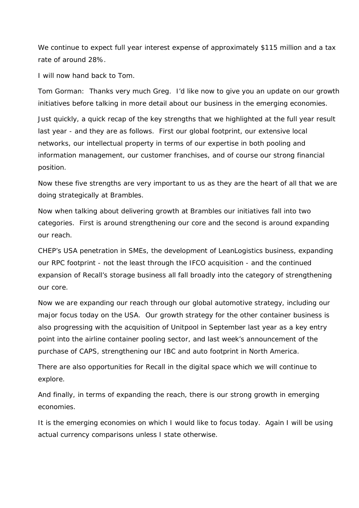We continue to expect full year interest expense of approximately \$115 million and a tax rate of around 28%.

I will now hand back to Tom.

Tom Gorman: Thanks very much Greg. I'd like now to give you an update on our growth initiatives before talking in more detail about our business in the emerging economies.

Just quickly, a quick recap of the key strengths that we highlighted at the full year result last year - and they are as follows. First our global footprint, our extensive local networks, our intellectual property in terms of our expertise in both pooling and information management, our customer franchises, and of course our strong financial position.

Now these five strengths are very important to us as they are the heart of all that we are doing strategically at Brambles.

Now when talking about delivering growth at Brambles our initiatives fall into two categories. First is around strengthening our core and the second is around expanding our reach.

CHEP's USA penetration in SMEs, the development of LeanLogistics business, expanding our RPC footprint - not the least through the IFCO acquisition - and the continued expansion of Recall's storage business all fall broadly into the category of strengthening our core.

Now we are expanding our reach through our global automotive strategy, including our major focus today on the USA. Our growth strategy for the other container business is also progressing with the acquisition of Unitpool in September last year as a key entry point into the airline container pooling sector, and last week's announcement of the purchase of CAPS, strengthening our IBC and auto footprint in North America.

There are also opportunities for Recall in the digital space which we will continue to explore.

And finally, in terms of expanding the reach, there is our strong growth in emerging economies.

It is the emerging economies on which I would like to focus today. Again I will be using actual currency comparisons unless I state otherwise.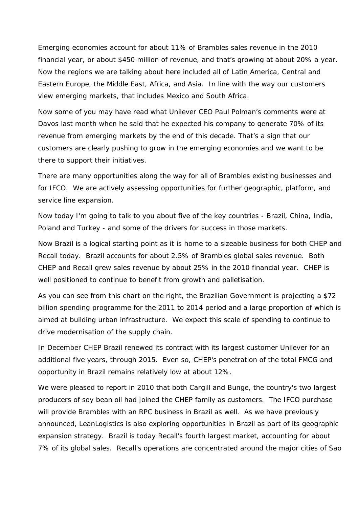Emerging economies account for about 11% of Brambles sales revenue in the 2010 financial year, or about \$450 million of revenue, and that's growing at about 20% a year. Now the regions we are talking about here included all of Latin America, Central and Eastern Europe, the Middle East, Africa, and Asia. In line with the way our customers view emerging markets, that includes Mexico and South Africa.

Now some of you may have read what Unilever CEO Paul Polman's comments were at Davos last month when he said that he expected his company to generate 70% of its revenue from emerging markets by the end of this decade. That's a sign that our customers are clearly pushing to grow in the emerging economies and we want to be there to support their initiatives.

There are many opportunities along the way for all of Brambles existing businesses and for IFCO. We are actively assessing opportunities for further geographic, platform, and service line expansion.

Now today I'm going to talk to you about five of the key countries - Brazil, China, India, Poland and Turkey - and some of the drivers for success in those markets.

Now Brazil is a logical starting point as it is home to a sizeable business for both CHEP and Recall today. Brazil accounts for about 2.5% of Brambles global sales revenue. Both CHEP and Recall grew sales revenue by about 25% in the 2010 financial year. CHEP is well positioned to continue to benefit from growth and palletisation.

As you can see from this chart on the right, the Brazilian Government is projecting a \$72 billion spending programme for the 2011 to 2014 period and a large proportion of which is aimed at building urban infrastructure. We expect this scale of spending to continue to drive modernisation of the supply chain.

In December CHEP Brazil renewed its contract with its largest customer Unilever for an additional five years, through 2015. Even so, CHEP's penetration of the total FMCG and opportunity in Brazil remains relatively low at about 12%.

We were pleased to report in 2010 that both Cargill and Bunge, the country's two largest producers of soy bean oil had joined the CHEP family as customers. The IFCO purchase will provide Brambles with an RPC business in Brazil as well. As we have previously announced, LeanLogistics is also exploring opportunities in Brazil as part of its geographic expansion strategy. Brazil is today Recall's fourth largest market, accounting for about 7% of its global sales. Recall's operations are concentrated around the major cities of Sao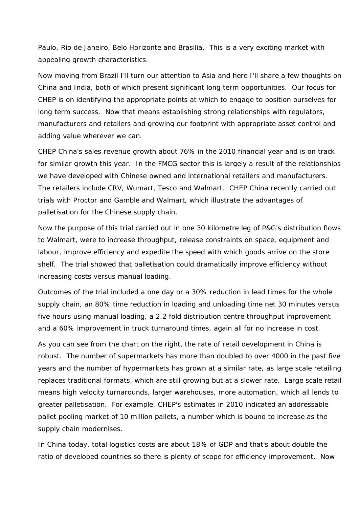Paulo, Rio de Janeiro, Belo Horizonte and Brasilia. This is a very exciting market with appealing growth characteristics.

Now moving from Brazil I'll turn our attention to Asia and here I'll share a few thoughts on China and India, both of which present significant long term opportunities. Our focus for CHEP is on identifying the appropriate points at which to engage to position ourselves for long term success. Now that means establishing strong relationships with regulators, manufacturers and retailers and growing our footprint with appropriate asset control and adding value wherever we can.

CHEP China's sales revenue growth about 76% in the 2010 financial year and is on track for similar growth this year. In the FMCG sector this is largely a result of the relationships we have developed with Chinese owned and international retailers and manufacturers. The retailers include CRV, Wumart, Tesco and Walmart. CHEP China recently carried out trials with Proctor and Gamble and Walmart, which illustrate the advantages of palletisation for the Chinese supply chain.

Now the purpose of this trial carried out in one 30 kilometre leg of P&G's distribution flows to Walmart, were to increase throughput, release constraints on space, equipment and labour, improve efficiency and expedite the speed with which goods arrive on the store shelf. The trial showed that palletisation could dramatically improve efficiency without increasing costs versus manual loading.

Outcomes of the trial included a one day or a 30% reduction in lead times for the whole supply chain, an 80% time reduction in loading and unloading time net 30 minutes versus five hours using manual loading, a 2.2 fold distribution centre throughput improvement and a 60% improvement in truck turnaround times, again all for no increase in cost.

As you can see from the chart on the right, the rate of retail development in China is robust. The number of supermarkets has more than doubled to over 4000 in the past five years and the number of hypermarkets has grown at a similar rate, as large scale retailing replaces traditional formats, which are still growing but at a slower rate. Large scale retail means high velocity turnarounds, larger warehouses, more automation, which all lends to greater palletisation. For example, CHEP's estimates in 2010 indicated an addressable pallet pooling market of 10 million pallets, a number which is bound to increase as the supply chain modernises.

In China today, total logistics costs are about 18% of GDP and that's about double the ratio of developed countries so there is plenty of scope for efficiency improvement. Now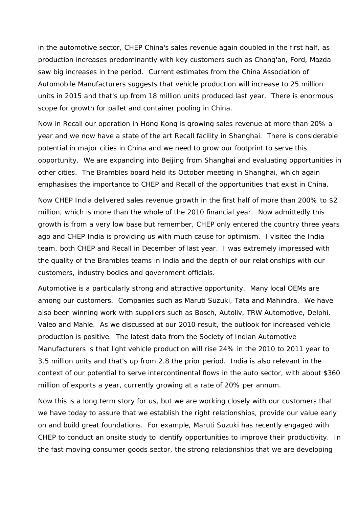in the automotive sector, CHEP China's sales revenue again doubled in the first half, as production increases predominantly with key customers such as Chang'an, Ford, Mazda saw big increases in the period. Current estimates from the China Association of Automobile Manufacturers suggests that vehicle production will increase to 25 million units in 2015 and that's up from 18 million units produced last year. There is enormous scope for growth for pallet and container pooling in China.

Now in Recall our operation in Hong Kong is growing sales revenue at more than 20% a year and we now have a state of the art Recall facility in Shanghai. There is considerable potential in major cities in China and we need to grow our footprint to serve this opportunity. We are expanding into Beijing from Shanghai and evaluating opportunities in other cities. The Brambles board held its October meeting in Shanghai, which again emphasises the importance to CHEP and Recall of the opportunities that exist in China.

Now CHEP India delivered sales revenue growth in the first half of more than 200% to \$2 million, which is more than the whole of the 2010 financial year. Now admittedly this growth is from a very low base but remember, CHEP only entered the country three years ago and CHEP India is providing us with much cause for optimism. I visited the India team, both CHEP and Recall in December of last year. I was extremely impressed with the quality of the Brambles teams in India and the depth of our relationships with our customers, industry bodies and government officials.

Automotive is a particularly strong and attractive opportunity. Many local OEMs are among our customers. Companies such as Maruti Suzuki, Tata and Mahindra. We have also been winning work with suppliers such as Bosch, Autoliv, TRW Automotive, Delphi, Valeo and Mahle. As we discussed at our 2010 result, the outlook for increased vehicle production is positive. The latest data from the Society of Indian Automotive Manufacturers is that light vehicle production will rise 24% in the 2010 to 2011 year to 3.5 million units and that's up from 2.8 the prior period. India is also relevant in the context of our potential to serve intercontinental flows in the auto sector, with about \$360 million of exports a year, currently growing at a rate of 20% per annum.

Now this is a long term story for us, but we are working closely with our customers that we have today to assure that we establish the right relationships, provide our value early on and build great foundations. For example, Maruti Suzuki has recently engaged with CHEP to conduct an onsite study to identify opportunities to improve their productivity. In the fast moving consumer goods sector, the strong relationships that we are developing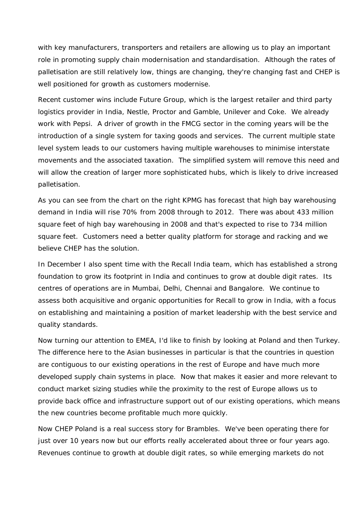with key manufacturers, transporters and retailers are allowing us to play an important role in promoting supply chain modernisation and standardisation. Although the rates of palletisation are still relatively low, things are changing, they're changing fast and CHEP is well positioned for growth as customers modernise.

Recent customer wins include Future Group, which is the largest retailer and third party logistics provider in India, Nestle, Proctor and Gamble, Unilever and Coke. We already work with Pepsi. A driver of growth in the FMCG sector in the coming years will be the introduction of a single system for taxing goods and services. The current multiple state level system leads to our customers having multiple warehouses to minimise interstate movements and the associated taxation. The simplified system will remove this need and will allow the creation of larger more sophisticated hubs, which is likely to drive increased palletisation.

As you can see from the chart on the right KPMG has forecast that high bay warehousing demand in India will rise 70% from 2008 through to 2012. There was about 433 million square feet of high bay warehousing in 2008 and that's expected to rise to 734 million square feet. Customers need a better quality platform for storage and racking and we believe CHEP has the solution.

In December I also spent time with the Recall India team, which has established a strong foundation to grow its footprint in India and continues to grow at double digit rates. Its centres of operations are in Mumbai, Delhi, Chennai and Bangalore. We continue to assess both acquisitive and organic opportunities for Recall to grow in India, with a focus on establishing and maintaining a position of market leadership with the best service and quality standards.

Now turning our attention to EMEA, I'd like to finish by looking at Poland and then Turkey. The difference here to the Asian businesses in particular is that the countries in question are contiguous to our existing operations in the rest of Europe and have much more developed supply chain systems in place. Now that makes it easier and more relevant to conduct market sizing studies while the proximity to the rest of Europe allows us to provide back office and infrastructure support out of our existing operations, which means the new countries become profitable much more quickly.

Now CHEP Poland is a real success story for Brambles. We've been operating there for just over 10 years now but our efforts really accelerated about three or four years ago. Revenues continue to growth at double digit rates, so while emerging markets do not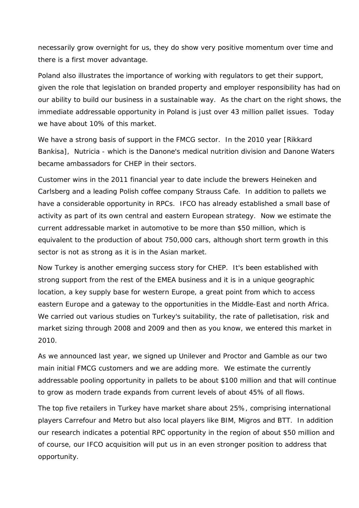necessarily grow overnight for us, they do show very positive momentum over time and there is a first mover advantage.

Poland also illustrates the importance of working with regulators to get their support, given the role that legislation on branded property and employer responsibility has had on our ability to build our business in a sustainable way. As the chart on the right shows, the immediate addressable opportunity in Poland is just over 43 million pallet issues. Today we have about 10% of this market.

We have a strong basis of support in the FMCG sector. In the 2010 year [Rikkard Bankisa], Nutricia - which is the Danone's medical nutrition division and Danone Waters became ambassadors for CHEP in their sectors.

Customer wins in the 2011 financial year to date include the brewers Heineken and Carlsberg and a leading Polish coffee company Strauss Cafe. In addition to pallets we have a considerable opportunity in RPCs. IFCO has already established a small base of activity as part of its own central and eastern European strategy. Now we estimate the current addressable market in automotive to be more than \$50 million, which is equivalent to the production of about 750,000 cars, although short term growth in this sector is not as strong as it is in the Asian market.

Now Turkey is another emerging success story for CHEP. It's been established with strong support from the rest of the EMEA business and it is in a unique geographic location, a key supply base for western Europe, a great point from which to access eastern Europe and a gateway to the opportunities in the Middle-East and north Africa. We carried out various studies on Turkey's suitability, the rate of palletisation, risk and market sizing through 2008 and 2009 and then as you know, we entered this market in 2010.

As we announced last year, we signed up Unilever and Proctor and Gamble as our two main initial FMCG customers and we are adding more. We estimate the currently addressable pooling opportunity in pallets to be about \$100 million and that will continue to grow as modern trade expands from current levels of about 45% of all flows.

The top five retailers in Turkey have market share about 25%, comprising international players Carrefour and Metro but also local players like BIM, Migros and BTT. In addition our research indicates a potential RPC opportunity in the region of about \$50 million and of course, our IFCO acquisition will put us in an even stronger position to address that opportunity.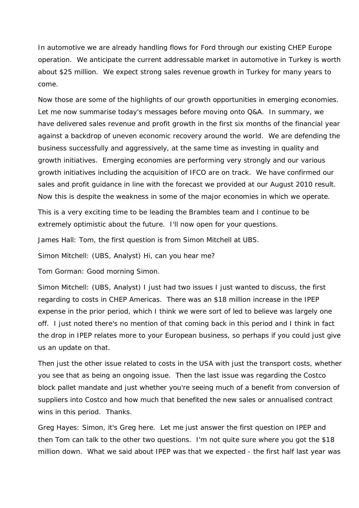In automotive we are already handling flows for Ford through our existing CHEP Europe operation. We anticipate the current addressable market in automotive in Turkey is worth about \$25 million. We expect strong sales revenue growth in Turkey for many years to come.

Now those are some of the highlights of our growth opportunities in emerging economies. Let me now summarise today's messages before moving onto Q&A. In summary, we have delivered sales revenue and profit growth in the first six months of the financial year against a backdrop of uneven economic recovery around the world. We are defending the business successfully and aggressively, at the same time as investing in quality and growth initiatives. Emerging economies are performing very strongly and our various growth initiatives including the acquisition of IFCO are on track. We have confirmed our sales and profit guidance in line with the forecast we provided at our August 2010 result. Now this is despite the weakness in some of the major economies in which we operate.

This is a very exciting time to be leading the Brambles team and I continue to be extremely optimistic about the future. I'll now open for your questions.

James Hall: Tom, the first question is from Simon Mitchell at UBS.

Simon Mitchell: (UBS, Analyst) Hi, can you hear me?

Tom Gorman: Good morning Simon.

Simon Mitchell: (UBS, Analyst) I just had two issues I just wanted to discuss, the first regarding to costs in CHEP Americas. There was an \$18 million increase in the IPEP expense in the prior period, which I think we were sort of led to believe was largely one off. I just noted there's no mention of that coming back in this period and I think in fact the drop in IPEP relates more to your European business, so perhaps if you could just give us an update on that.

Then just the other issue related to costs in the USA with just the transport costs, whether you see that as being an ongoing issue. Then the last issue was regarding the Costco block pallet mandate and just whether you're seeing much of a benefit from conversion of suppliers into Costco and how much that benefited the new sales or annualised contract wins in this period. Thanks.

Greg Hayes: Simon, it's Greg here. Let me just answer the first question on IPEP and then Tom can talk to the other two questions. I'm not quite sure where you got the \$18 million down. What we said about IPEP was that we expected - the first half last year was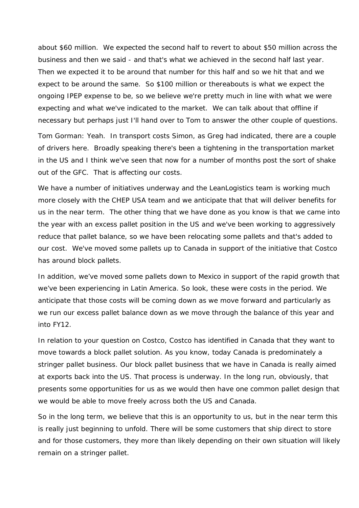about \$60 million. We expected the second half to revert to about \$50 million across the business and then we said - and that's what we achieved in the second half last year. Then we expected it to be around that number for this half and so we hit that and we expect to be around the same. So \$100 million or thereabouts is what we expect the ongoing IPEP expense to be, so we believe we're pretty much in line with what we were expecting and what we've indicated to the market. We can talk about that offline if necessary but perhaps just I'll hand over to Tom to answer the other couple of questions.

Tom Gorman: Yeah. In transport costs Simon, as Greg had indicated, there are a couple of drivers here. Broadly speaking there's been a tightening in the transportation market in the US and I think we've seen that now for a number of months post the sort of shake out of the GFC. That is affecting our costs.

We have a number of initiatives underway and the LeanLogistics team is working much more closely with the CHEP USA team and we anticipate that that will deliver benefits for us in the near term. The other thing that we have done as you know is that we came into the year with an excess pallet position in the US and we've been working to aggressively reduce that pallet balance, so we have been relocating some pallets and that's added to our cost. We've moved some pallets up to Canada in support of the initiative that Costco has around block pallets.

In addition, we've moved some pallets down to Mexico in support of the rapid growth that we've been experiencing in Latin America. So look, these were costs in the period. We anticipate that those costs will be coming down as we move forward and particularly as we run our excess pallet balance down as we move through the balance of this year and into FY12.

In relation to your question on Costco, Costco has identified in Canada that they want to move towards a block pallet solution. As you know, today Canada is predominately a stringer pallet business. Our block pallet business that we have in Canada is really aimed at exports back into the US. That process is underway. In the long run, obviously, that presents some opportunities for us as we would then have one common pallet design that we would be able to move freely across both the US and Canada.

So in the long term, we believe that this is an opportunity to us, but in the near term this is really just beginning to unfold. There will be some customers that ship direct to store and for those customers, they more than likely depending on their own situation will likely remain on a stringer pallet.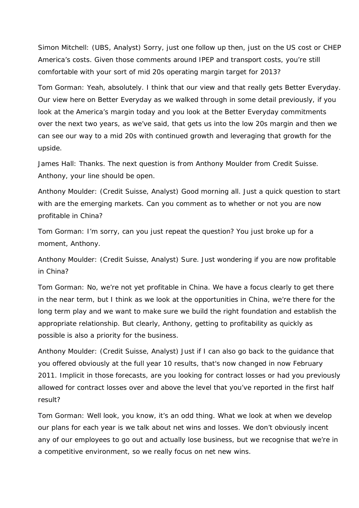Simon Mitchell: (UBS, Analyst) Sorry, just one follow up then, just on the US cost or CHEP America's costs. Given those comments around IPEP and transport costs, you're still comfortable with your sort of mid 20s operating margin target for 2013?

Tom Gorman: Yeah, absolutely. I think that our view and that really gets Better Everyday. Our view here on Better Everyday as we walked through in some detail previously, if you look at the America's margin today and you look at the Better Everyday commitments over the next two years, as we've said, that gets us into the low 20s margin and then we can see our way to a mid 20s with continued growth and leveraging that growth for the upside.

James Hall: Thanks. The next question is from Anthony Moulder from Credit Suisse. Anthony, your line should be open.

Anthony Moulder: (Credit Suisse, Analyst) Good morning all. Just a quick question to start with are the emerging markets. Can you comment as to whether or not you are now profitable in China?

Tom Gorman: I'm sorry, can you just repeat the question? You just broke up for a moment, Anthony.

Anthony Moulder: (Credit Suisse, Analyst) Sure. Just wondering if you are now profitable in China?

Tom Gorman: No, we're not yet profitable in China. We have a focus clearly to get there in the near term, but I think as we look at the opportunities in China, we're there for the long term play and we want to make sure we build the right foundation and establish the appropriate relationship. But clearly, Anthony, getting to profitability as quickly as possible is also a priority for the business.

Anthony Moulder: (Credit Suisse, Analyst) Just if I can also go back to the guidance that you offered obviously at the full year 10 results, that's now changed in now February 2011. Implicit in those forecasts, are you looking for contract losses or had you previously allowed for contract losses over and above the level that you've reported in the first half result?

Tom Gorman: Well look, you know, it's an odd thing. What we look at when we develop our plans for each year is we talk about net wins and losses. We don't obviously incent any of our employees to go out and actually lose business, but we recognise that we're in a competitive environment, so we really focus on net new wins.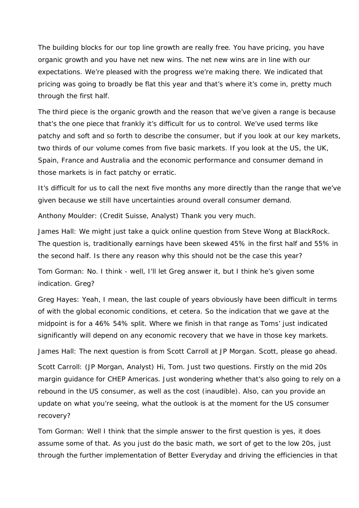The building blocks for our top line growth are really free. You have pricing, you have organic growth and you have net new wins. The net new wins are in line with our expectations. We're pleased with the progress we're making there. We indicated that pricing was going to broadly be flat this year and that's where it's come in, pretty much through the first half.

The third piece is the organic growth and the reason that we've given a range is because that's the one piece that frankly it's difficult for us to control. We've used terms like patchy and soft and so forth to describe the consumer, but if you look at our key markets, two thirds of our volume comes from five basic markets. If you look at the US, the UK, Spain, France and Australia and the economic performance and consumer demand in those markets is in fact patchy or erratic.

It's difficult for us to call the next five months any more directly than the range that we've given because we still have uncertainties around overall consumer demand.

Anthony Moulder: (Credit Suisse, Analyst) Thank you very much.

James Hall: We might just take a quick online question from Steve Wong at BlackRock. The question is, traditionally earnings have been skewed 45% in the first half and 55% in the second half. Is there any reason why this should not be the case this year?

Tom Gorman: No. I think - well, I'll let Greg answer it, but I think he's given some indication. Greg?

Greg Hayes: Yeah, I mean, the last couple of years obviously have been difficult in terms of with the global economic conditions, et cetera. So the indication that we gave at the midpoint is for a 46% 54% split. Where we finish in that range as Toms' just indicated significantly will depend on any economic recovery that we have in those key markets.

James Hall: The next question is from Scott Carroll at JP Morgan. Scott, please go ahead.

Scott Carroll: (JP Morgan, Analyst) Hi, Tom. Just two questions. Firstly on the mid 20s margin guidance for CHEP Americas. Just wondering whether that's also going to rely on a rebound in the US consumer, as well as the cost (inaudible). Also, can you provide an update on what you're seeing, what the outlook is at the moment for the US consumer recovery?

Tom Gorman: Well I think that the simple answer to the first question is yes, it does assume some of that. As you just do the basic math, we sort of get to the low 20s, just through the further implementation of Better Everyday and driving the efficiencies in that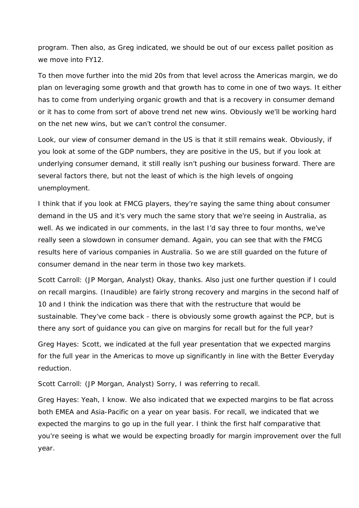program. Then also, as Greg indicated, we should be out of our excess pallet position as we move into FY12.

To then move further into the mid 20s from that level across the Americas margin, we do plan on leveraging some growth and that growth has to come in one of two ways. It either has to come from underlying organic growth and that is a recovery in consumer demand or it has to come from sort of above trend net new wins. Obviously we'll be working hard on the net new wins, but we can't control the consumer.

Look, our view of consumer demand in the US is that it still remains weak. Obviously, if you look at some of the GDP numbers, they are positive in the US, but if you look at underlying consumer demand, it still really isn't pushing our business forward. There are several factors there, but not the least of which is the high levels of ongoing unemployment.

I think that if you look at FMCG players, they're saying the same thing about consumer demand in the US and it's very much the same story that we're seeing in Australia, as well. As we indicated in our comments, in the last I'd say three to four months, we've really seen a slowdown in consumer demand. Again, you can see that with the FMCG results here of various companies in Australia. So we are still guarded on the future of consumer demand in the near term in those two key markets.

Scott Carroll: (JP Morgan, Analyst) Okay, thanks. Also just one further question if I could on recall margins. (Inaudible) are fairly strong recovery and margins in the second half of 10 and I think the indication was there that with the restructure that would be sustainable. They've come back - there is obviously some growth against the PCP, but is there any sort of guidance you can give on margins for recall but for the full year?

Greg Hayes: Scott, we indicated at the full year presentation that we expected margins for the full year in the Americas to move up significantly in line with the Better Everyday reduction.

Scott Carroll: (JP Morgan, Analyst) Sorry, I was referring to recall.

Greg Hayes: Yeah, I know. We also indicated that we expected margins to be flat across both EMEA and Asia-Pacific on a year on year basis. For recall, we indicated that we expected the margins to go up in the full year. I think the first half comparative that you're seeing is what we would be expecting broadly for margin improvement over the full year.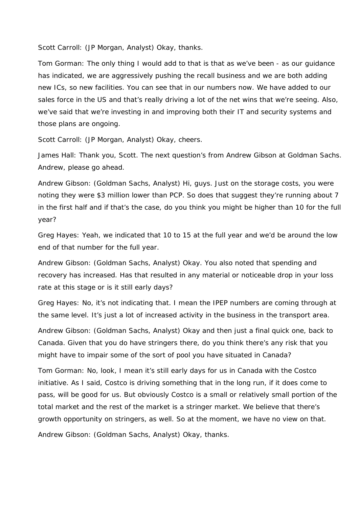Scott Carroll: (JP Morgan, Analyst) Okay, thanks.

Tom Gorman: The only thing I would add to that is that as we've been - as our guidance has indicated, we are aggressively pushing the recall business and we are both adding new ICs, so new facilities. You can see that in our numbers now. We have added to our sales force in the US and that's really driving a lot of the net wins that we're seeing. Also, we've said that we're investing in and improving both their IT and security systems and those plans are ongoing.

Scott Carroll: (JP Morgan, Analyst) Okay, cheers.

James Hall: Thank you, Scott. The next question's from Andrew Gibson at Goldman Sachs. Andrew, please go ahead.

Andrew Gibson: (Goldman Sachs, Analyst) Hi, guys. Just on the storage costs, you were noting they were \$3 million lower than PCP. So does that suggest they're running about 7 in the first half and if that's the case, do you think you might be higher than 10 for the full year?

Greg Hayes: Yeah, we indicated that 10 to 15 at the full year and we'd be around the low end of that number for the full year.

Andrew Gibson: (Goldman Sachs, Analyst) Okay. You also noted that spending and recovery has increased. Has that resulted in any material or noticeable drop in your loss rate at this stage or is it still early days?

Greg Hayes: No, it's not indicating that. I mean the IPEP numbers are coming through at the same level. It's just a lot of increased activity in the business in the transport area.

Andrew Gibson: (Goldman Sachs, Analyst) Okay and then just a final quick one, back to Canada. Given that you do have stringers there, do you think there's any risk that you might have to impair some of the sort of pool you have situated in Canada?

Tom Gorman: No, look, I mean it's still early days for us in Canada with the Costco initiative. As I said, Costco is driving something that in the long run, if it does come to pass, will be good for us. But obviously Costco is a small or relatively small portion of the total market and the rest of the market is a stringer market. We believe that there's growth opportunity on stringers, as well. So at the moment, we have no view on that.

Andrew Gibson: (Goldman Sachs, Analyst) Okay, thanks.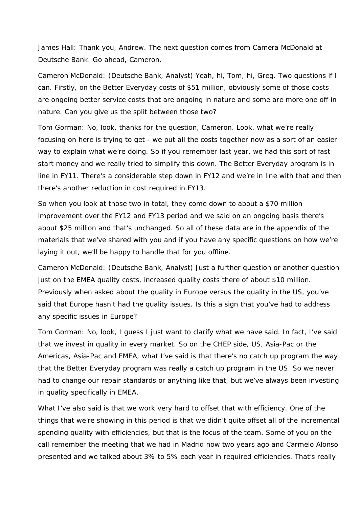James Hall: Thank you, Andrew. The next question comes from Camera McDonald at Deutsche Bank. Go ahead, Cameron.

Cameron McDonald: (Deutsche Bank, Analyst) Yeah, hi, Tom, hi, Greg. Two questions if I can. Firstly, on the Better Everyday costs of \$51 million, obviously some of those costs are ongoing better service costs that are ongoing in nature and some are more one off in nature. Can you give us the split between those two?

Tom Gorman: No, look, thanks for the question, Cameron. Look, what we're really focusing on here is trying to get - we put all the costs together now as a sort of an easier way to explain what we're doing. So if you remember last year, we had this sort of fast start money and we really tried to simplify this down. The Better Everyday program is in line in FY11. There's a considerable step down in FY12 and we're in line with that and then there's another reduction in cost required in FY13.

So when you look at those two in total, they come down to about a \$70 million improvement over the FY12 and FY13 period and we said on an ongoing basis there's about \$25 million and that's unchanged. So all of these data are in the appendix of the materials that we've shared with you and if you have any specific questions on how we're laying it out, we'll be happy to handle that for you offline.

Cameron McDonald: (Deutsche Bank, Analyst) Just a further question or another question just on the EMEA quality costs, increased quality costs there of about \$10 million. Previously when asked about the quality in Europe versus the quality in the US, you've said that Europe hasn't had the quality issues. Is this a sign that you've had to address any specific issues in Europe?

Tom Gorman: No, look, I guess I just want to clarify what we have said. In fact, I've said that we invest in quality in every market. So on the CHEP side, US, Asia-Pac or the Americas, Asia-Pac and EMEA, what I've said is that there's no catch up program the way that the Better Everyday program was really a catch up program in the US. So we never had to change our repair standards or anything like that, but we've always been investing in quality specifically in EMEA.

What I've also said is that we work very hard to offset that with efficiency. One of the things that we're showing in this period is that we didn't quite offset all of the incremental spending quality with efficiencies, but that is the focus of the team. Some of you on the call remember the meeting that we had in Madrid now two years ago and Carmelo Alonso presented and we talked about 3% to 5% each year in required efficiencies. That's really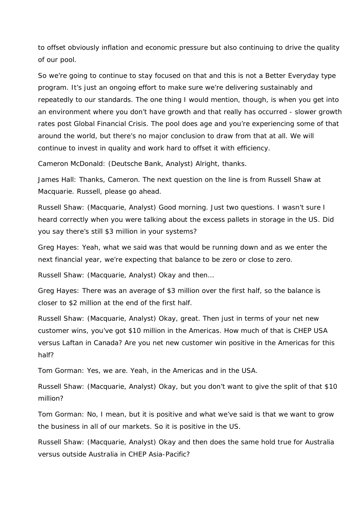to offset obviously inflation and economic pressure but also continuing to drive the quality of our pool.

So we're going to continue to stay focused on that and this is not a Better Everyday type program. It's just an ongoing effort to make sure we're delivering sustainably and repeatedly to our standards. The one thing I would mention, though, is when you get into an environment where you don't have growth and that really has occurred - slower growth rates post Global Financial Crisis. The pool does age and you're experiencing some of that around the world, but there's no major conclusion to draw from that at all. We will continue to invest in quality and work hard to offset it with efficiency.

Cameron McDonald: (Deutsche Bank, Analyst) Alright, thanks.

James Hall: Thanks, Cameron. The next question on the line is from Russell Shaw at Macquarie. Russell, please go ahead.

Russell Shaw: (Macquarie, Analyst) Good morning. Just two questions. I wasn't sure I heard correctly when you were talking about the excess pallets in storage in the US. Did you say there's still \$3 million in your systems?

Greg Hayes: Yeah, what we said was that would be running down and as we enter the next financial year, we're expecting that balance to be zero or close to zero.

Russell Shaw: (Macquarie, Analyst) Okay and then…

Greg Hayes: There was an average of \$3 million over the first half, so the balance is closer to \$2 million at the end of the first half.

Russell Shaw: (Macquarie, Analyst) Okay, great. Then just in terms of your net new customer wins, you've got \$10 million in the Americas. How much of that is CHEP USA versus Laftan in Canada? Are you net new customer win positive in the Americas for this half?

Tom Gorman: Yes, we are. Yeah, in the Americas and in the USA.

Russell Shaw: (Macquarie, Analyst) Okay, but you don't want to give the split of that \$10 million?

Tom Gorman: No, I mean, but it is positive and what we've said is that we want to grow the business in all of our markets. So it is positive in the US.

Russell Shaw: (Macquarie, Analyst) Okay and then does the same hold true for Australia versus outside Australia in CHEP Asia-Pacific?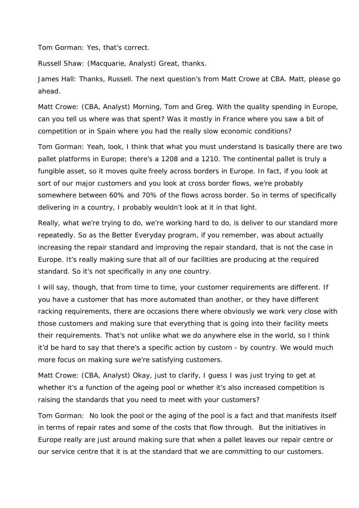Tom Gorman: Yes, that's correct.

Russell Shaw: (Macquarie, Analyst) Great, thanks.

James Hall: Thanks, Russell. The next question's from Matt Crowe at CBA. Matt, please go ahead.

Matt Crowe: (CBA, Analyst) Morning, Tom and Greg. With the quality spending in Europe, can you tell us where was that spent? Was it mostly in France where you saw a bit of competition or in Spain where you had the really slow economic conditions?

Tom Gorman: Yeah, look, I think that what you must understand is basically there are two pallet platforms in Europe; there's a 1208 and a 1210. The continental pallet is truly a fungible asset, so it moves quite freely across borders in Europe. In fact, if you look at sort of our major customers and you look at cross border flows, we're probably somewhere between 60% and 70% of the flows across border. So in terms of specifically delivering in a country, I probably wouldn't look at it in that light.

Really, what we're trying to do, we're working hard to do, is deliver to our standard more repeatedly. So as the Better Everyday program, if you remember, was about actually increasing the repair standard and improving the repair standard, that is not the case in Europe. It's really making sure that all of our facilities are producing at the required standard. So it's not specifically in any one country.

I will say, though, that from time to time, your customer requirements are different. If you have a customer that has more automated than another, or they have different racking requirements, there are occasions there where obviously we work very close with those customers and making sure that everything that is going into their facility meets their requirements. That's not unlike what we do anywhere else in the world, so I think it'd be hard to say that there's a specific action by custom - by country. We would much more focus on making sure we're satisfying customers.

Matt Crowe: (CBA, Analyst) Okay, just to clarify, I guess I was just trying to get at whether it's a function of the ageing pool or whether it's also increased competition is raising the standards that you need to meet with your customers?

Tom Gorman: No look the pool or the aging of the pool is a fact and that manifests itself in terms of repair rates and some of the costs that flow through. But the initiatives in Europe really are just around making sure that when a pallet leaves our repair centre or our service centre that it is at the standard that we are committing to our customers.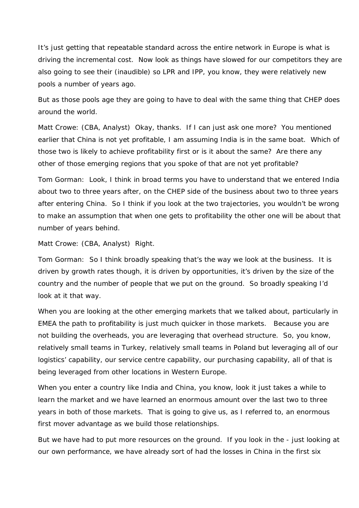It's just getting that repeatable standard across the entire network in Europe is what is driving the incremental cost. Now look as things have slowed for our competitors they are also going to see their (inaudible) so LPR and IPP, you know, they were relatively new pools a number of years ago.

But as those pools age they are going to have to deal with the same thing that CHEP does around the world.

Matt Crowe: (CBA, Analyst) Okay, thanks. If I can just ask one more? You mentioned earlier that China is not yet profitable, I am assuming India is in the same boat. Which of those two is likely to achieve profitability first or is it about the same? Are there any other of those emerging regions that you spoke of that are not yet profitable?

Tom Gorman: Look, I think in broad terms you have to understand that we entered India about two to three years after, on the CHEP side of the business about two to three years after entering China. So I think if you look at the two trajectories, you wouldn't be wrong to make an assumption that when one gets to profitability the other one will be about that number of years behind.

Matt Crowe: (CBA, Analyst) Right.

Tom Gorman: So I think broadly speaking that's the way we look at the business. It is driven by growth rates though, it is driven by opportunities, it's driven by the size of the country and the number of people that we put on the ground. So broadly speaking I'd look at it that way.

When you are looking at the other emerging markets that we talked about, particularly in EMEA the path to profitability is just much quicker in those markets. Because you are not building the overheads, you are leveraging that overhead structure. So, you know, relatively small teams in Turkey, relatively small teams in Poland but leveraging all of our logistics' capability, our service centre capability, our purchasing capability, all of that is being leveraged from other locations in Western Europe.

When you enter a country like India and China, you know, look it just takes a while to learn the market and we have learned an enormous amount over the last two to three years in both of those markets. That is going to give us, as I referred to, an enormous first mover advantage as we build those relationships.

But we have had to put more resources on the ground. If you look in the - just looking at our own performance, we have already sort of had the losses in China in the first six